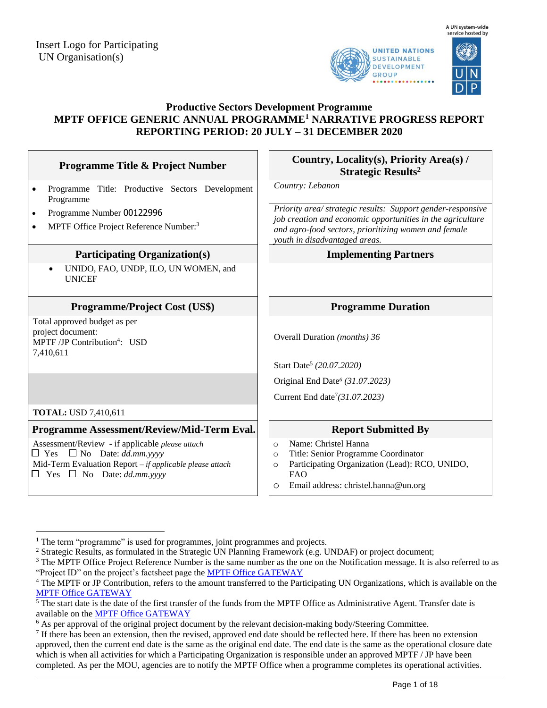



## **Productive Sectors Development Programme MPTF OFFICE GENERIC ANNUAL PROGRAMME<sup>1</sup> NARRATIVE PROGRESS REPORT REPORTING PERIOD: 20 JULY – 31 DECEMBER 2020**

| <b>Programme Title &amp; Project Number</b>                                                                                                                                                   | Country, Locality(s), Priority Area(s) /<br><b>Strategic Results<sup>2</sup></b>                                                                                                                                   |
|-----------------------------------------------------------------------------------------------------------------------------------------------------------------------------------------------|--------------------------------------------------------------------------------------------------------------------------------------------------------------------------------------------------------------------|
| Programme Title: Productive Sectors Development<br>$\bullet$<br>Programme                                                                                                                     | Country: Lebanon                                                                                                                                                                                                   |
| Programme Number 00122996<br>$\bullet$<br>MPTF Office Project Reference Number: <sup>3</sup><br>$\bullet$                                                                                     | Priority area/ strategic results: Support gender-responsive<br>job creation and economic opportunities in the agriculture<br>and agro-food sectors, prioritizing women and female<br>youth in disadvantaged areas. |
| <b>Participating Organization(s)</b>                                                                                                                                                          | <b>Implementing Partners</b>                                                                                                                                                                                       |
| UNIDO, FAO, UNDP, ILO, UN WOMEN, and<br><b>UNICEF</b>                                                                                                                                         |                                                                                                                                                                                                                    |
| <b>Programme/Project Cost (US\$)</b>                                                                                                                                                          | <b>Programme Duration</b>                                                                                                                                                                                          |
| Total approved budget as per<br>project document:<br>MPTF /JP Contribution <sup>4</sup> : USD<br>7,410,611                                                                                    | Overall Duration (months) 36                                                                                                                                                                                       |
|                                                                                                                                                                                               | Start Date <sup>5</sup> (20.07.2020)                                                                                                                                                                               |
|                                                                                                                                                                                               | Original End Date <sup>6</sup> (31.07.2023)                                                                                                                                                                        |
|                                                                                                                                                                                               | Current End date <sup>7</sup> (31.07.2023)                                                                                                                                                                         |
| <b>TOTAL: USD 7,410,611</b>                                                                                                                                                                   |                                                                                                                                                                                                                    |
| Programme Assessment/Review/Mid-Term Eval.                                                                                                                                                    | <b>Report Submitted By</b>                                                                                                                                                                                         |
| Assessment/Review - if applicable please attach<br>$\Box$ Yes $\Box$ No Date: dd.mm.yyyy<br>Mid-Term Evaluation Report - if applicable please attach<br>$\Box$ Yes $\Box$ No Date: dd.mm.yyyy | Name: Christel Hanna<br>$\circ$<br>Title: Senior Programme Coordinator<br>$\circ$<br>Participating Organization (Lead): RCO, UNIDO,<br>$\circ$<br><b>FAO</b><br>Email address: christel.hanna@un.org<br>O          |

 $\overline{a}$ 

 $1$  The term "programme" is used for programmes, joint programmes and projects.

<sup>&</sup>lt;sup>2</sup> Strategic Results, as formulated in the Strategic UN Planning Framework (e.g. UNDAF) or project document;

 $3$  The MPTF Office Project Reference Number is the same number as the one on the Notification message. It is also referred to as "Project ID" on the project's factsheet page the [MPTF Office GATEWAY](http://mdtf.undp.org/)

<sup>&</sup>lt;sup>4</sup> The MPTF or JP Contribution, refers to the amount transferred to the Participating UN Organizations, which is available on the [MPTF Office GATEWAY](http://mdtf.undp.org/)

 $5$  The start date is the date of the first transfer of the funds from the MPTF Office as Administrative Agent. Transfer date is available on the [MPTF Office GATEWAY](http://mdtf.undp.org/)

<sup>&</sup>lt;sup>6</sup> As per approval of the original project document by the relevant decision-making body/Steering Committee.

<sup>&</sup>lt;sup>7</sup> If there has been an extension, then the revised, approved end date should be reflected here. If there has been no extension approved, then the current end date is the same as the original end date. The end date is the same as the operational closure date which is when all activities for which a Participating Organization is responsible under an approved MPTF / JP have been completed. As per the MOU, agencies are to notify the MPTF Office when a programme completes its operational activities.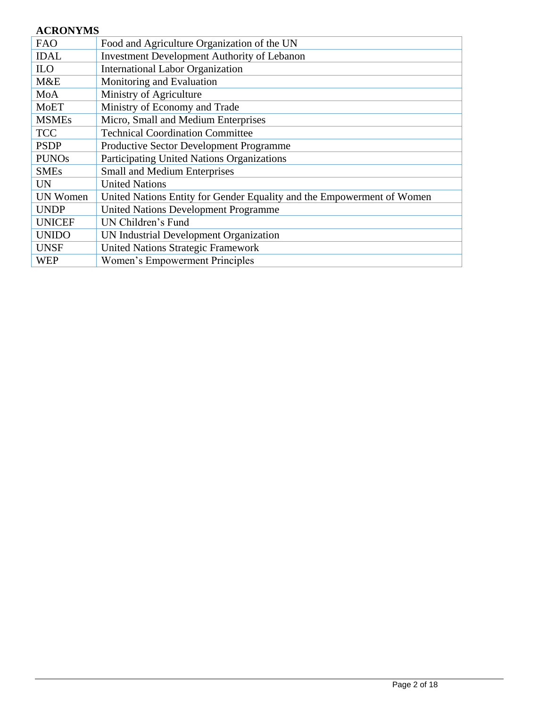# **ACRONYMS**

| <b>FAO</b>      | Food and Agriculture Organization of the UN                            |
|-----------------|------------------------------------------------------------------------|
| <b>IDAL</b>     | <b>Investment Development Authority of Lebanon</b>                     |
| <b>ILO</b>      | <b>International Labor Organization</b>                                |
| M&E             | Monitoring and Evaluation                                              |
| MoA             | Ministry of Agriculture                                                |
| <b>MoET</b>     | Ministry of Economy and Trade                                          |
| <b>MSMEs</b>    | Micro, Small and Medium Enterprises                                    |
| <b>TCC</b>      | <b>Technical Coordination Committee</b>                                |
| <b>PSDP</b>     | Productive Sector Development Programme                                |
| <b>PUNOs</b>    | Participating United Nations Organizations                             |
| <b>SMEs</b>     | <b>Small and Medium Enterprises</b>                                    |
| <b>UN</b>       | <b>United Nations</b>                                                  |
| <b>UN Women</b> | United Nations Entity for Gender Equality and the Empowerment of Women |
| <b>UNDP</b>     | <b>United Nations Development Programme</b>                            |
| <b>UNICEF</b>   | UN Children's Fund                                                     |
| <b>UNIDO</b>    | UN Industrial Development Organization                                 |
| <b>UNSF</b>     | <b>United Nations Strategic Framework</b>                              |
| <b>WEP</b>      | Women's Empowerment Principles                                         |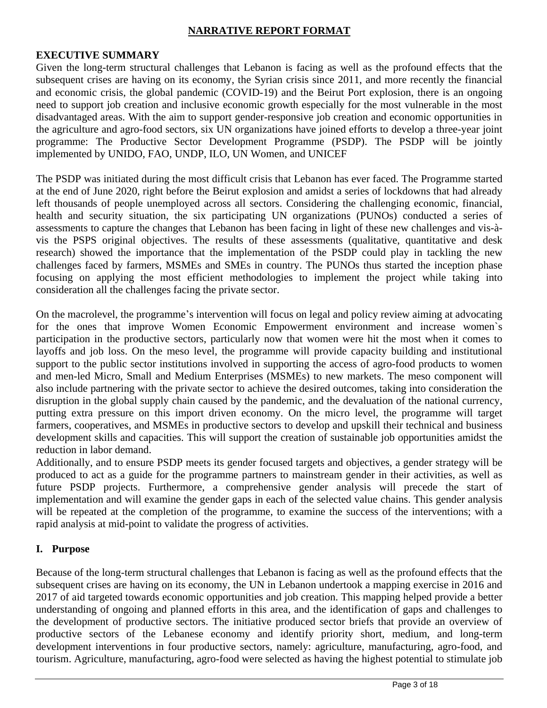## **NARRATIVE REPORT FORMAT**

#### **EXECUTIVE SUMMARY**

Given the long-term structural challenges that Lebanon is facing as well as the profound effects that the subsequent crises are having on its economy, the Syrian crisis since 2011, and more recently the financial and economic crisis, the global pandemic (COVID-19) and the Beirut Port explosion, there is an ongoing need to support job creation and inclusive economic growth especially for the most vulnerable in the most disadvantaged areas. With the aim to support gender-responsive job creation and economic opportunities in the agriculture and agro-food sectors, six UN organizations have joined efforts to develop a three-year joint programme: The Productive Sector Development Programme (PSDP). The PSDP will be jointly implemented by UNIDO, FAO, UNDP, ILO, UN Women, and UNICEF

The PSDP was initiated during the most difficult crisis that Lebanon has ever faced. The Programme started at the end of June 2020, right before the Beirut explosion and amidst a series of lockdowns that had already left thousands of people unemployed across all sectors. Considering the challenging economic, financial, health and security situation, the six participating UN organizations (PUNOs) conducted a series of assessments to capture the changes that Lebanon has been facing in light of these new challenges and vis-àvis the PSPS original objectives. The results of these assessments (qualitative, quantitative and desk research) showed the importance that the implementation of the PSDP could play in tackling the new challenges faced by farmers, MSMEs and SMEs in country. The PUNOs thus started the inception phase focusing on applying the most efficient methodologies to implement the project while taking into consideration all the challenges facing the private sector.

On the macrolevel, the programme's intervention will focus on legal and policy review aiming at advocating for the ones that improve Women Economic Empowerment environment and increase women`s participation in the productive sectors, particularly now that women were hit the most when it comes to layoffs and job loss. On the meso level, the programme will provide capacity building and institutional support to the public sector institutions involved in supporting the access of agro-food products to women and men-led Micro, Small and Medium Enterprises (MSMEs) to new markets. The meso component will also include partnering with the private sector to achieve the desired outcomes, taking into consideration the disruption in the global supply chain caused by the pandemic, and the devaluation of the national currency, putting extra pressure on this import driven economy. On the micro level, the programme will target farmers, cooperatives, and MSMEs in productive sectors to develop and upskill their technical and business development skills and capacities. This will support the creation of sustainable job opportunities amidst the reduction in labor demand.

Additionally, and to ensure PSDP meets its gender focused targets and objectives, a gender strategy will be produced to act as a guide for the programme partners to mainstream gender in their activities, as well as future PSDP projects. Furthermore, a comprehensive gender analysis will precede the start of implementation and will examine the gender gaps in each of the selected value chains. This gender analysis will be repeated at the completion of the programme, to examine the success of the interventions; with a rapid analysis at mid-point to validate the progress of activities.

## **I. Purpose**

Because of the long-term structural challenges that Lebanon is facing as well as the profound effects that the subsequent crises are having on its economy, the UN in Lebanon undertook a mapping exercise in 2016 and 2017 of aid targeted towards economic opportunities and job creation. This mapping helped provide a better understanding of ongoing and planned efforts in this area, and the identification of gaps and challenges to the development of productive sectors. The initiative produced sector briefs that provide an overview of productive sectors of the Lebanese economy and identify priority short, medium, and long-term development interventions in four productive sectors, namely: agriculture, manufacturing, agro-food, and tourism. Agriculture, manufacturing, agro-food were selected as having the highest potential to stimulate job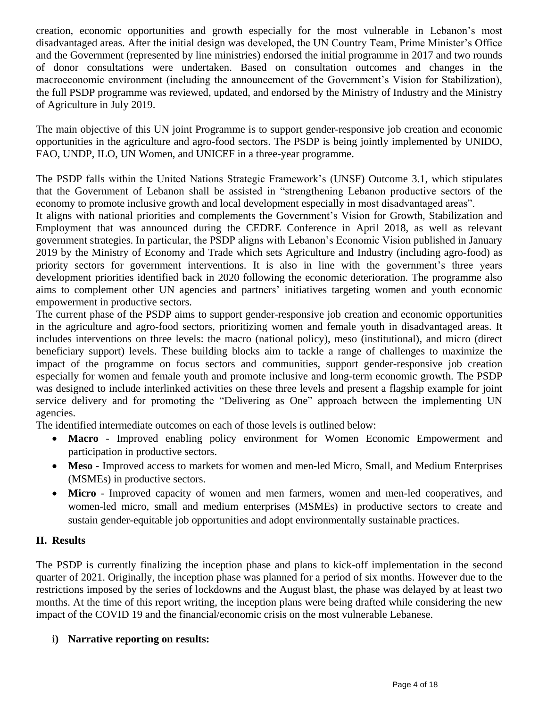creation, economic opportunities and growth especially for the most vulnerable in Lebanon's most disadvantaged areas. After the initial design was developed, the UN Country Team, Prime Minister's Office and the Government (represented by line ministries) endorsed the initial programme in 2017 and two rounds of donor consultations were undertaken. Based on consultation outcomes and changes in the macroeconomic environment (including the announcement of the Government's Vision for Stabilization), the full PSDP programme was reviewed, updated, and endorsed by the Ministry of Industry and the Ministry of Agriculture in July 2019.

The main objective of this UN joint Programme is to support gender-responsive job creation and economic opportunities in the agriculture and agro-food sectors. The PSDP is being jointly implemented by UNIDO, FAO, UNDP, ILO, UN Women, and UNICEF in a three-year programme.

The PSDP falls within the United Nations Strategic Framework's (UNSF) Outcome 3.1, which stipulates that the Government of Lebanon shall be assisted in "strengthening Lebanon productive sectors of the economy to promote inclusive growth and local development especially in most disadvantaged areas".

It aligns with national priorities and complements the Government's Vision for Growth, Stabilization and Employment that was announced during the CEDRE Conference in April 2018, as well as relevant government strategies. In particular, the PSDP aligns with Lebanon's Economic Vision published in January 2019 by the Ministry of Economy and Trade which sets Agriculture and Industry (including agro-food) as priority sectors for government interventions. It is also in line with the government's three years development priorities identified back in 2020 following the economic deterioration. The programme also aims to complement other UN agencies and partners' initiatives targeting women and youth economic empowerment in productive sectors.

The current phase of the PSDP aims to support gender-responsive job creation and economic opportunities in the agriculture and agro-food sectors, prioritizing women and female youth in disadvantaged areas. It includes interventions on three levels: the macro (national policy), meso (institutional), and micro (direct beneficiary support) levels. These building blocks aim to tackle a range of challenges to maximize the impact of the programme on focus sectors and communities, support gender-responsive job creation especially for women and female youth and promote inclusive and long-term economic growth. The PSDP was designed to include interlinked activities on these three levels and present a flagship example for joint service delivery and for promoting the "Delivering as One" approach between the implementing UN agencies.

The identified intermediate outcomes on each of those levels is outlined below:

- **Macro** Improved enabling policy environment for Women Economic Empowerment and participation in productive sectors.
- **Meso** Improved access to markets for women and men-led Micro, Small, and Medium Enterprises (MSMEs) in productive sectors.
- **Micro** Improved capacity of women and men farmers, women and men-led cooperatives, and women-led micro, small and medium enterprises (MSMEs) in productive sectors to create and sustain gender-equitable job opportunities and adopt environmentally sustainable practices.

## **II. Results**

The PSDP is currently finalizing the inception phase and plans to kick-off implementation in the second quarter of 2021. Originally, the inception phase was planned for a period of six months. However due to the restrictions imposed by the series of lockdowns and the August blast, the phase was delayed by at least two months. At the time of this report writing, the inception plans were being drafted while considering the new impact of the COVID 19 and the financial/economic crisis on the most vulnerable Lebanese.

## **i) Narrative reporting on results:**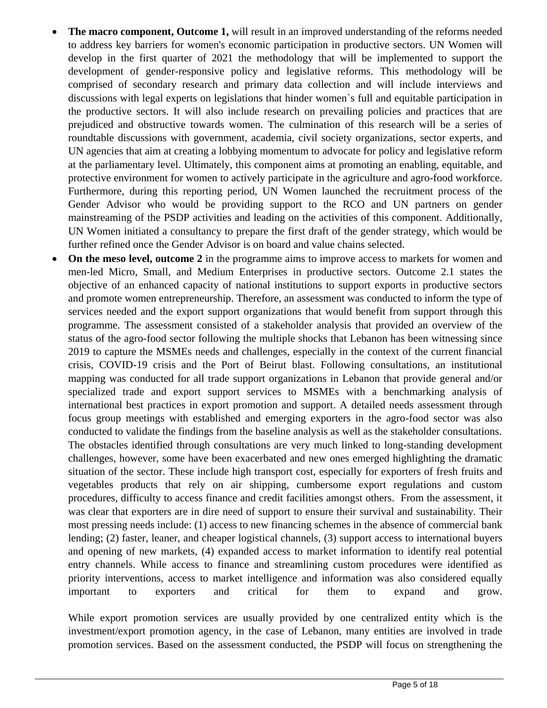- **The macro component, Outcome 1,** will result in an improved understanding of the reforms needed to address key barriers for women's economic participation in productive sectors. UN Women will develop in the first quarter of 2021 the methodology that will be implemented to support the development of gender-responsive policy and legislative reforms. This methodology will be comprised of secondary research and primary data collection and will include interviews and discussions with legal experts on legislations that hinder women`s full and equitable participation in the productive sectors. It will also include research on prevailing policies and practices that are prejudiced and obstructive towards women. The culmination of this research will be a series of roundtable discussions with government, academia, civil society organizations, sector experts, and UN agencies that aim at creating a lobbying momentum to advocate for policy and legislative reform at the parliamentary level. Ultimately, this component aims at promoting an enabling, equitable, and protective environment for women to actively participate in the agriculture and agro-food workforce. Furthermore, during this reporting period, UN Women launched the recruitment process of the Gender Advisor who would be providing support to the RCO and UN partners on gender mainstreaming of the PSDP activities and leading on the activities of this component. Additionally, UN Women initiated a consultancy to prepare the first draft of the gender strategy, which would be further refined once the Gender Advisor is on board and value chains selected.
- On the meso level, outcome 2 in the programme aims to improve access to markets for women and men-led Micro, Small, and Medium Enterprises in productive sectors. Outcome 2.1 states the objective of an enhanced capacity of national institutions to support exports in productive sectors and promote women entrepreneurship. Therefore, an assessment was conducted to inform the type of services needed and the export support organizations that would benefit from support through this programme. The assessment consisted of a stakeholder analysis that provided an overview of the status of the agro-food sector following the multiple shocks that Lebanon has been witnessing since 2019 to capture the MSMEs needs and challenges, especially in the context of the current financial crisis, COVID-19 crisis and the Port of Beirut blast. Following consultations, an institutional mapping was conducted for all trade support organizations in Lebanon that provide general and/or specialized trade and export support services to MSMEs with a benchmarking analysis of international best practices in export promotion and support. A detailed needs assessment through focus group meetings with established and emerging exporters in the agro-food sector was also conducted to validate the findings from the baseline analysis as well as the stakeholder consultations. The obstacles identified through consultations are very much linked to long-standing development challenges, however, some have been exacerbated and new ones emerged highlighting the dramatic situation of the sector. These include high transport cost, especially for exporters of fresh fruits and vegetables products that rely on air shipping, cumbersome export regulations and custom procedures, difficulty to access finance and credit facilities amongst others. From the assessment, it was clear that exporters are in dire need of support to ensure their survival and sustainability. Their most pressing needs include: (1) access to new financing schemes in the absence of commercial bank lending; (2) faster, leaner, and cheaper logistical channels, (3) support access to international buyers and opening of new markets, (4) expanded access to market information to identify real potential entry channels. While access to finance and streamlining custom procedures were identified as priority interventions, access to market intelligence and information was also considered equally important to exporters and critical for them to expand and grow.

While export promotion services are usually provided by one centralized entity which is the investment/export promotion agency, in the case of Lebanon, many entities are involved in trade promotion services. Based on the assessment conducted, the PSDP will focus on strengthening the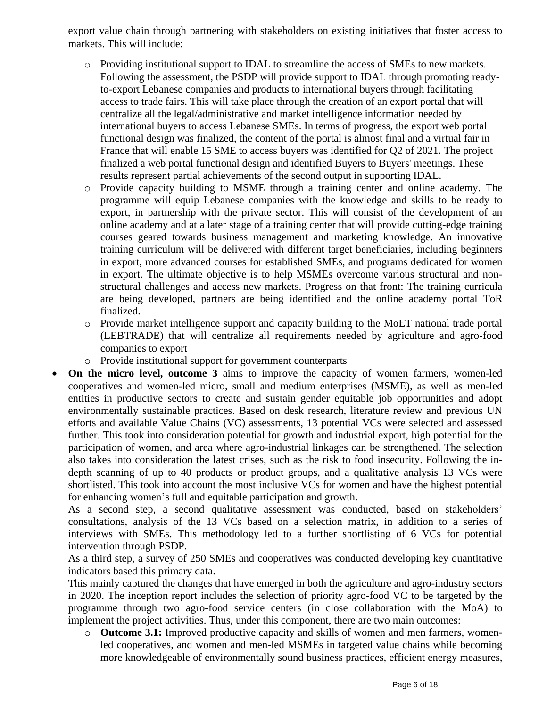export value chain through partnering with stakeholders on existing initiatives that foster access to markets. This will include:

- o Providing institutional support to IDAL to streamline the access of SMEs to new markets. Following the assessment, the PSDP will provide support to IDAL through promoting readyto-export Lebanese companies and products to international buyers through facilitating access to trade fairs. This will take place through the creation of an export portal that will centralize all the legal/administrative and market intelligence information needed by international buyers to access Lebanese SMEs. In terms of progress, the export web portal functional design was finalized, the content of the portal is almost final and a virtual fair in France that will enable 15 SME to access buyers was identified for Q2 of 2021. The project finalized a web portal functional design and identified Buyers to Buyers' meetings. These results represent partial achievements of the second output in supporting IDAL.
- o Provide capacity building to MSME through a training center and online academy. The programme will equip Lebanese companies with the knowledge and skills to be ready to export, in partnership with the private sector. This will consist of the development of an online academy and at a later stage of a training center that will provide cutting-edge training courses geared towards business management and marketing knowledge. An innovative training curriculum will be delivered with different target beneficiaries, including beginners in export, more advanced courses for established SMEs, and programs dedicated for women in export. The ultimate objective is to help MSMEs overcome various structural and nonstructural challenges and access new markets. Progress on that front: The training curricula are being developed, partners are being identified and the online academy portal ToR finalized.
- o Provide market intelligence support and capacity building to the MoET national trade portal (LEBTRADE) that will centralize all requirements needed by agriculture and agro-food companies to export
- o Provide institutional support for government counterparts
- **On the micro level, outcome 3** aims to improve the capacity of women farmers, women-led cooperatives and women-led micro, small and medium enterprises (MSME), as well as men-led entities in productive sectors to create and sustain gender equitable job opportunities and adopt environmentally sustainable practices. Based on desk research, literature review and previous UN efforts and available Value Chains (VC) assessments, 13 potential VCs were selected and assessed further. This took into consideration potential for growth and industrial export, high potential for the participation of women, and area where agro-industrial linkages can be strengthened. The selection also takes into consideration the latest crises, such as the risk to food insecurity. Following the indepth scanning of up to 40 products or product groups, and a qualitative analysis 13 VCs were shortlisted. This took into account the most inclusive VCs for women and have the highest potential for enhancing women's full and equitable participation and growth.

As a second step, a second qualitative assessment was conducted, based on stakeholders' consultations, analysis of the 13 VCs based on a selection matrix, in addition to a series of interviews with SMEs. This methodology led to a further shortlisting of 6 VCs for potential intervention through PSDP.

As a third step, a survey of 250 SMEs and cooperatives was conducted developing key quantitative indicators based this primary data.

This mainly captured the changes that have emerged in both the agriculture and agro-industry sectors in 2020. The inception report includes the selection of priority agro-food VC to be targeted by the programme through two agro-food service centers (in close collaboration with the MoA) to implement the project activities. Thus, under this component, there are two main outcomes:

o **Outcome 3.1:** Improved productive capacity and skills of women and men farmers, womenled cooperatives, and women and men-led MSMEs in targeted value chains while becoming more knowledgeable of environmentally sound business practices, efficient energy measures,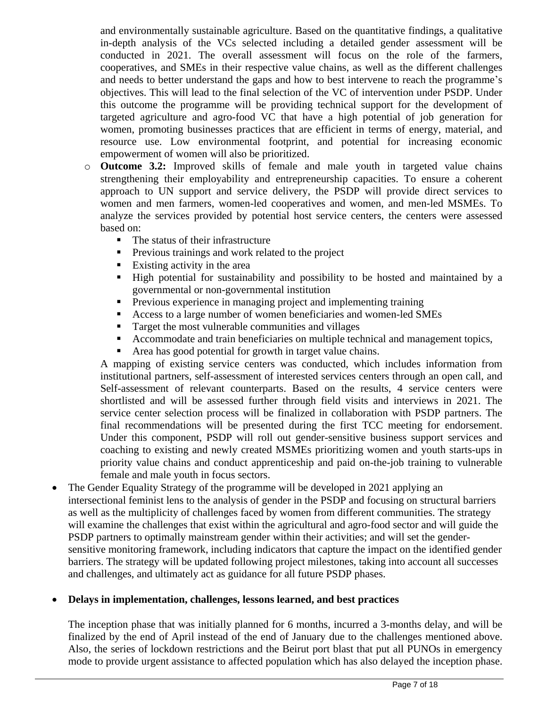and environmentally sustainable agriculture. Based on the quantitative findings, a qualitative in-depth analysis of the VCs selected including a detailed gender assessment will be conducted in 2021. The overall assessment will focus on the role of the farmers, cooperatives, and SMEs in their respective value chains, as well as the different challenges and needs to better understand the gaps and how to best intervene to reach the programme's objectives. This will lead to the final selection of the VC of intervention under PSDP. Under this outcome the programme will be providing technical support for the development of targeted agriculture and agro-food VC that have a high potential of job generation for women, promoting businesses practices that are efficient in terms of energy, material, and resource use. Low environmental footprint, and potential for increasing economic empowerment of women will also be prioritized.

- o **Outcome 3.2:** Improved skills of female and male youth in targeted value chains strengthening their employability and entrepreneurship capacities. To ensure a coherent approach to UN support and service delivery, the PSDP will provide direct services to women and men farmers, women-led cooperatives and women, and men-led MSMEs. To analyze the services provided by potential host service centers, the centers were assessed based on:
	- The status of their infrastructure
	- **•** Previous trainings and work related to the project
	- $\blacksquare$  Existing activity in the area
	- High potential for sustainability and possibility to be hosted and maintained by a governmental or non-governmental institution
	- **•** Previous experience in managing project and implementing training
	- Access to a large number of women beneficiaries and women-led SMEs
	- Target the most vulnerable communities and villages
	- Accommodate and train beneficiaries on multiple technical and management topics,
	- Area has good potential for growth in target value chains.

A mapping of existing service centers was conducted, which includes information from institutional partners, self-assessment of interested services centers through an open call, and Self-assessment of relevant counterparts. Based on the results, 4 service centers were shortlisted and will be assessed further through field visits and interviews in 2021. The service center selection process will be finalized in collaboration with PSDP partners. The final recommendations will be presented during the first TCC meeting for endorsement. Under this component, PSDP will roll out gender-sensitive business support services and coaching to existing and newly created MSMEs prioritizing women and youth starts-ups in priority value chains and conduct apprenticeship and paid on-the-job training to vulnerable female and male youth in focus sectors.

• The Gender Equality Strategy of the programme will be developed in 2021 applying an intersectional feminist lens to the analysis of gender in the PSDP and focusing on structural barriers as well as the multiplicity of challenges faced by women from different communities. The strategy will examine the challenges that exist within the agricultural and agro-food sector and will guide the PSDP partners to optimally mainstream gender within their activities; and will set the gendersensitive monitoring framework, including indicators that capture the impact on the identified gender barriers. The strategy will be updated following project milestones, taking into account all successes and challenges, and ultimately act as guidance for all future PSDP phases.

## • **Delays in implementation, challenges, lessons learned, and best practices**

The inception phase that was initially planned for 6 months, incurred a 3-months delay, and will be finalized by the end of April instead of the end of January due to the challenges mentioned above. Also, the series of lockdown restrictions and the Beirut port blast that put all PUNOs in emergency mode to provide urgent assistance to affected population which has also delayed the inception phase.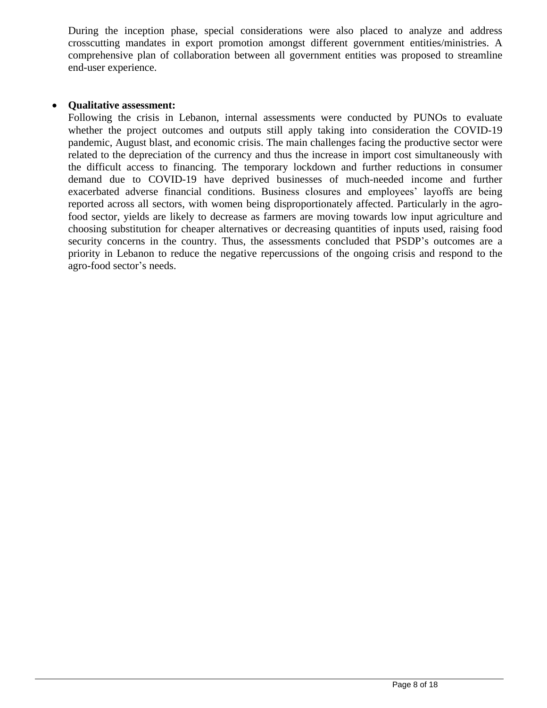During the inception phase, special considerations were also placed to analyze and address crosscutting mandates in export promotion amongst different government entities/ministries. A comprehensive plan of collaboration between all government entities was proposed to streamline end-user experience.

#### • **Qualitative assessment:**

Following the crisis in Lebanon, internal assessments were conducted by PUNOs to evaluate whether the project outcomes and outputs still apply taking into consideration the COVID-19 pandemic, August blast, and economic crisis. The main challenges facing the productive sector were related to the depreciation of the currency and thus the increase in import cost simultaneously with the difficult access to financing. The temporary lockdown and further reductions in consumer demand due to COVID-19 have deprived businesses of much-needed income and further exacerbated adverse financial conditions. Business closures and employees' layoffs are being reported across all sectors, with women being disproportionately affected. Particularly in the agrofood sector, yields are likely to decrease as farmers are moving towards low input agriculture and choosing substitution for cheaper alternatives or decreasing quantities of inputs used, raising food security concerns in the country. Thus, the assessments concluded that PSDP's outcomes are a priority in Lebanon to reduce the negative repercussions of the ongoing crisis and respond to the agro-food sector's needs.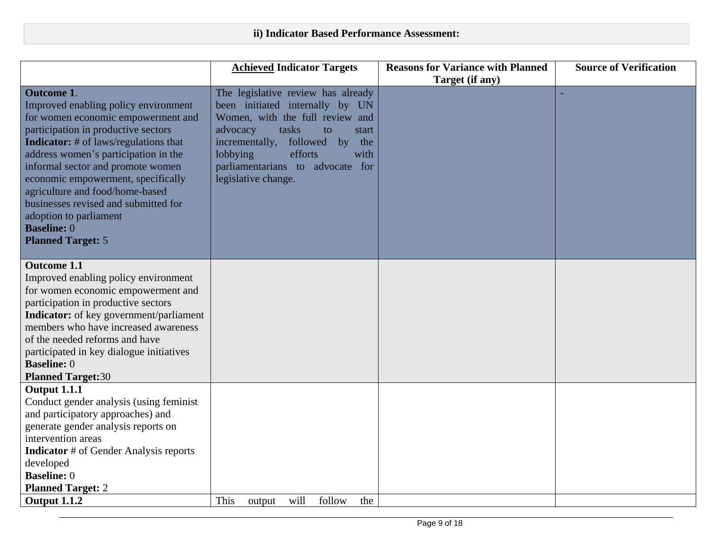|                                                                                                                                                                                                                                                                                                                                                                                                                                                                  | <b>Achieved Indicator Targets</b>                                                                                                                                                                                                                                                 | <b>Reasons for Variance with Planned</b> | <b>Source of Verification</b> |
|------------------------------------------------------------------------------------------------------------------------------------------------------------------------------------------------------------------------------------------------------------------------------------------------------------------------------------------------------------------------------------------------------------------------------------------------------------------|-----------------------------------------------------------------------------------------------------------------------------------------------------------------------------------------------------------------------------------------------------------------------------------|------------------------------------------|-------------------------------|
|                                                                                                                                                                                                                                                                                                                                                                                                                                                                  |                                                                                                                                                                                                                                                                                   | Target (if any)                          |                               |
| <b>Outcome 1.</b><br>Improved enabling policy environment<br>for women economic empowerment and<br>participation in productive sectors<br><b>Indicator:</b> # of laws/regulations that<br>address women's participation in the<br>informal sector and promote women<br>economic empowerment, specifically<br>agriculture and food/home-based<br>businesses revised and submitted for<br>adoption to parliament<br><b>Baseline: 0</b><br><b>Planned Target: 5</b> | The legislative review has already<br>been initiated internally by UN<br>Women, with the full review and<br>advocacy<br>tasks<br>to<br>start<br>followed<br>incrementally,<br>by<br>the<br>lobbying<br>efforts<br>with<br>parliamentarians to advocate for<br>legislative change. |                                          |                               |
| <b>Outcome 1.1</b><br>Improved enabling policy environment<br>for women economic empowerment and<br>participation in productive sectors<br><b>Indicator:</b> of key government/parliament<br>members who have increased awareness<br>of the needed reforms and have<br>participated in key dialogue initiatives<br><b>Baseline: 0</b><br><b>Planned Target:30</b>                                                                                                |                                                                                                                                                                                                                                                                                   |                                          |                               |
| <b>Output 1.1.1</b><br>Conduct gender analysis (using feminist<br>and participatory approaches) and<br>generate gender analysis reports on<br>intervention areas<br><b>Indicator</b> # of Gender Analysis reports<br>developed<br><b>Baseline: 0</b><br><b>Planned Target: 2</b><br>Output 1.1.2                                                                                                                                                                 | This<br>follow<br>will<br>the<br>output                                                                                                                                                                                                                                           |                                          |                               |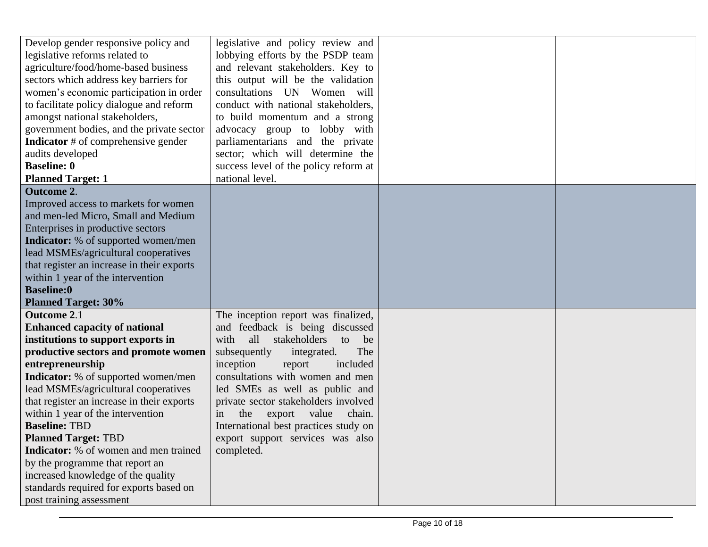| Develop gender responsive policy and<br>legislative and policy review and<br>legislative reforms related to<br>lobbying efforts by the PSDP team<br>agriculture/food/home-based business<br>and relevant stakeholders. Key to<br>sectors which address key barriers for<br>this output will be the validation<br>women's economic participation in order<br>consultations UN Women will<br>to facilitate policy dialogue and reform<br>conduct with national stakeholders,<br>amongst national stakeholders,<br>to build momentum and a strong<br>government bodies, and the private sector<br>advocacy group to lobby with<br><b>Indicator</b> # of comprehensive gender<br>parliamentarians and the private<br>sector; which will determine the<br>audits developed<br><b>Baseline: 0</b><br>success level of the policy reform at |  |
|--------------------------------------------------------------------------------------------------------------------------------------------------------------------------------------------------------------------------------------------------------------------------------------------------------------------------------------------------------------------------------------------------------------------------------------------------------------------------------------------------------------------------------------------------------------------------------------------------------------------------------------------------------------------------------------------------------------------------------------------------------------------------------------------------------------------------------------|--|
| <b>Planned Target: 1</b><br>national level.                                                                                                                                                                                                                                                                                                                                                                                                                                                                                                                                                                                                                                                                                                                                                                                          |  |
| <b>Outcome 2.</b><br>Improved access to markets for women<br>and men-led Micro, Small and Medium<br>Enterprises in productive sectors<br><b>Indicator:</b> % of supported women/men<br>lead MSMEs/agricultural cooperatives<br>that register an increase in their exports<br>within 1 year of the intervention<br><b>Baseline:0</b><br><b>Planned Target: 30%</b>                                                                                                                                                                                                                                                                                                                                                                                                                                                                    |  |
| <b>Outcome 2.1</b><br>The inception report was finalized,                                                                                                                                                                                                                                                                                                                                                                                                                                                                                                                                                                                                                                                                                                                                                                            |  |
| <b>Enhanced capacity of national</b><br>and feedback is being discussed                                                                                                                                                                                                                                                                                                                                                                                                                                                                                                                                                                                                                                                                                                                                                              |  |
| institutions to support exports in<br>stakeholders<br>with<br>all<br>be<br>to                                                                                                                                                                                                                                                                                                                                                                                                                                                                                                                                                                                                                                                                                                                                                        |  |
| productive sectors and promote women<br>subsequently<br>integrated.<br>The                                                                                                                                                                                                                                                                                                                                                                                                                                                                                                                                                                                                                                                                                                                                                           |  |
| inception<br>included<br>entrepreneurship<br>report                                                                                                                                                                                                                                                                                                                                                                                                                                                                                                                                                                                                                                                                                                                                                                                  |  |
| consultations with women and men<br><b>Indicator:</b> % of supported women/men                                                                                                                                                                                                                                                                                                                                                                                                                                                                                                                                                                                                                                                                                                                                                       |  |
| lead MSMEs/agricultural cooperatives<br>led SMEs as well as public and                                                                                                                                                                                                                                                                                                                                                                                                                                                                                                                                                                                                                                                                                                                                                               |  |
| that register an increase in their exports<br>private sector stakeholders involved                                                                                                                                                                                                                                                                                                                                                                                                                                                                                                                                                                                                                                                                                                                                                   |  |
| within 1 year of the intervention<br>the<br>export value<br>chain.<br>in                                                                                                                                                                                                                                                                                                                                                                                                                                                                                                                                                                                                                                                                                                                                                             |  |
| <b>Baseline: TBD</b><br>International best practices study on                                                                                                                                                                                                                                                                                                                                                                                                                                                                                                                                                                                                                                                                                                                                                                        |  |
| <b>Planned Target: TBD</b><br>export support services was also                                                                                                                                                                                                                                                                                                                                                                                                                                                                                                                                                                                                                                                                                                                                                                       |  |
| <b>Indicator:</b> % of women and men trained<br>completed.                                                                                                                                                                                                                                                                                                                                                                                                                                                                                                                                                                                                                                                                                                                                                                           |  |
| by the programme that report an                                                                                                                                                                                                                                                                                                                                                                                                                                                                                                                                                                                                                                                                                                                                                                                                      |  |
| increased knowledge of the quality                                                                                                                                                                                                                                                                                                                                                                                                                                                                                                                                                                                                                                                                                                                                                                                                   |  |
| standards required for exports based on                                                                                                                                                                                                                                                                                                                                                                                                                                                                                                                                                                                                                                                                                                                                                                                              |  |
| post training assessment                                                                                                                                                                                                                                                                                                                                                                                                                                                                                                                                                                                                                                                                                                                                                                                                             |  |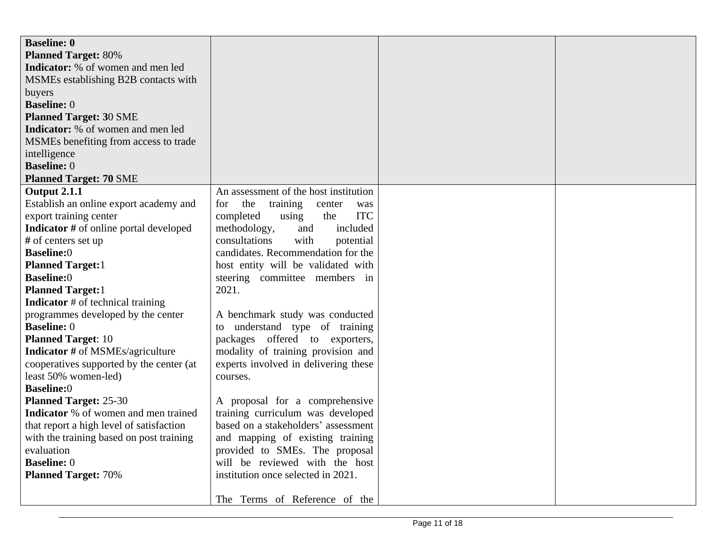| <b>Baseline: 0</b>                            |                                         |  |
|-----------------------------------------------|-----------------------------------------|--|
| <b>Planned Target: 80%</b>                    |                                         |  |
| <b>Indicator:</b> % of women and men led      |                                         |  |
| MSMEs establishing B2B contacts with          |                                         |  |
| buyers                                        |                                         |  |
| <b>Baseline: 0</b>                            |                                         |  |
| <b>Planned Target: 30 SME</b>                 |                                         |  |
| Indicator: % of women and men led             |                                         |  |
| MSMEs benefiting from access to trade         |                                         |  |
| intelligence                                  |                                         |  |
| <b>Baseline: 0</b>                            |                                         |  |
| <b>Planned Target: 70 SME</b>                 |                                         |  |
| Output 2.1.1                                  | An assessment of the host institution   |  |
| Establish an online export academy and        | the<br>training<br>for<br>center<br>was |  |
| export training center                        | <b>ITC</b><br>completed<br>the<br>using |  |
| <b>Indicator</b> # of online portal developed | included<br>methodology,<br>and         |  |
| # of centers set up                           | consultations<br>with<br>potential      |  |
| <b>Baseline:0</b>                             | candidates. Recommendation for the      |  |
| <b>Planned Target:1</b>                       | host entity will be validated with      |  |
| <b>Baseline:0</b>                             | steering committee members in           |  |
| <b>Planned Target:1</b>                       | 2021.                                   |  |
| <b>Indicator</b> # of technical training      |                                         |  |
| programmes developed by the center            | A benchmark study was conducted         |  |
| <b>Baseline: 0</b>                            | to understand type of training          |  |
| <b>Planned Target: 10</b>                     | packages offered to exporters,          |  |
| <b>Indicator</b> # of MSMEs/agriculture       | modality of training provision and      |  |
| cooperatives supported by the center (at      | experts involved in delivering these    |  |
| least 50% women-led)                          | courses.                                |  |
| <b>Baseline:0</b>                             |                                         |  |
| <b>Planned Target: 25-30</b>                  | A proposal for a comprehensive          |  |
| Indicator % of women and men trained          | training curriculum was developed       |  |
| that report a high level of satisfaction      | based on a stakeholders' assessment     |  |
| with the training based on post training      | and mapping of existing training        |  |
| evaluation                                    | provided to SMEs. The proposal          |  |
| <b>Baseline: 0</b>                            | will be reviewed with the host          |  |
| <b>Planned Target: 70%</b>                    | institution once selected in 2021.      |  |
|                                               |                                         |  |
|                                               | The Terms of Reference of the           |  |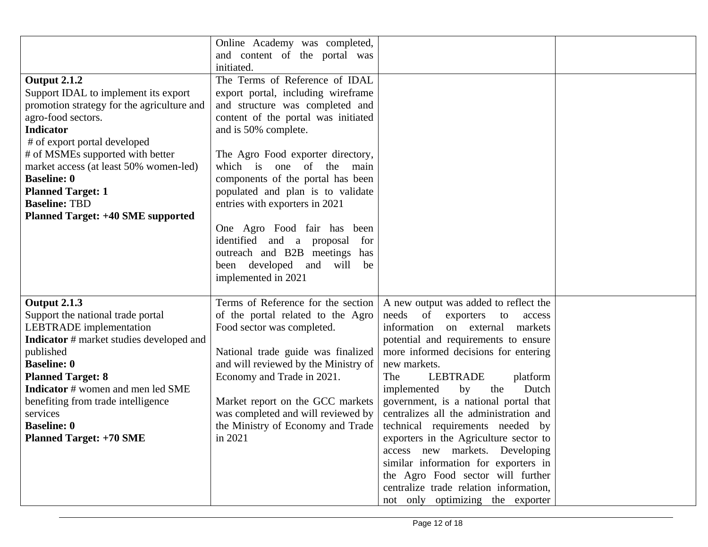|                                                                                                                                                                                                                                                                                                                                                                                         | Online Academy was completed,<br>and content of the portal was<br>initiated.                                                                                                                                                                                                                                                                                                                                                                                                                                          |                                                                                                                                                                                                                                                                                                                                                                                                                                                                                                                                                                                                                                                                     |  |
|-----------------------------------------------------------------------------------------------------------------------------------------------------------------------------------------------------------------------------------------------------------------------------------------------------------------------------------------------------------------------------------------|-----------------------------------------------------------------------------------------------------------------------------------------------------------------------------------------------------------------------------------------------------------------------------------------------------------------------------------------------------------------------------------------------------------------------------------------------------------------------------------------------------------------------|---------------------------------------------------------------------------------------------------------------------------------------------------------------------------------------------------------------------------------------------------------------------------------------------------------------------------------------------------------------------------------------------------------------------------------------------------------------------------------------------------------------------------------------------------------------------------------------------------------------------------------------------------------------------|--|
| <b>Output 2.1.2</b><br>Support IDAL to implement its export<br>promotion strategy for the agriculture and<br>agro-food sectors.<br><b>Indicator</b><br># of export portal developed<br># of MSMEs supported with better<br>market access (at least 50% women-led)<br><b>Baseline: 0</b><br><b>Planned Target: 1</b><br><b>Baseline: TBD</b><br><b>Planned Target: +40 SME supported</b> | The Terms of Reference of IDAL<br>export portal, including wireframe<br>and structure was completed and<br>content of the portal was initiated<br>and is 50% complete.<br>The Agro Food exporter directory,<br>which is one of the<br>main<br>components of the portal has been<br>populated and plan is to validate<br>entries with exporters in 2021<br>One Agro Food fair has been<br>identified and a proposal<br>for<br>outreach and B2B meetings has<br>been developed and<br>will<br>be<br>implemented in 2021 |                                                                                                                                                                                                                                                                                                                                                                                                                                                                                                                                                                                                                                                                     |  |
| <b>Output 2.1.3</b><br>Support the national trade portal<br><b>LEBTRADE</b> implementation<br><b>Indicator</b> # market studies developed and<br>published<br><b>Baseline: 0</b><br><b>Planned Target: 8</b><br><b>Indicator</b> # women and men led SME<br>benefiting from trade intelligence<br>services<br><b>Baseline: 0</b><br><b>Planned Target: +70 SME</b>                      | Terms of Reference for the section<br>of the portal related to the Agro<br>Food sector was completed.<br>National trade guide was finalized<br>and will reviewed by the Ministry of<br>Economy and Trade in 2021.<br>Market report on the GCC markets<br>was completed and will reviewed by<br>the Ministry of Economy and Trade<br>in 2021                                                                                                                                                                           | A new output was added to reflect the<br>needs<br>of<br>exporters<br>to<br>access<br>information<br>on external<br>markets<br>potential and requirements to ensure<br>more informed decisions for entering<br>new markets.<br>The<br><b>LEBTRADE</b><br>platform<br>implemented<br>by<br>the<br>Dutch<br>government, is a national portal that<br>centralizes all the administration and<br>technical requirements needed by<br>exporters in the Agriculture sector to<br>access new markets. Developing<br>similar information for exporters in<br>the Agro Food sector will further<br>centralize trade relation information,<br>not only optimizing the exporter |  |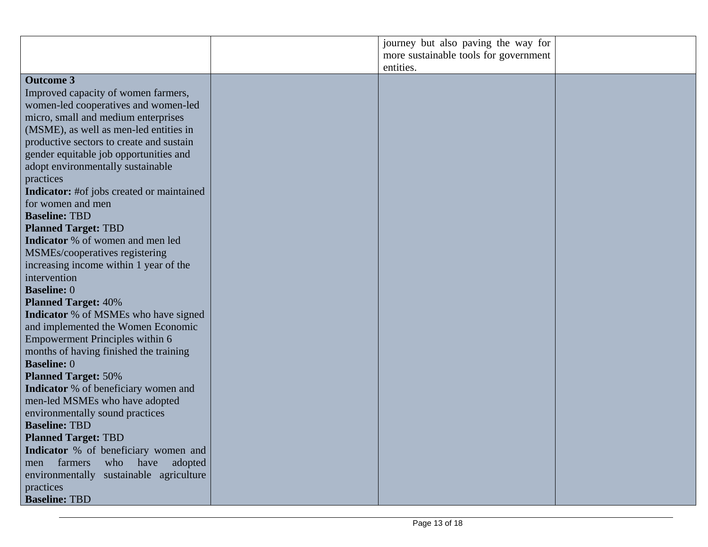|                                                  | journey but also paving the way for   |  |
|--------------------------------------------------|---------------------------------------|--|
|                                                  | more sustainable tools for government |  |
|                                                  | entities.                             |  |
| <b>Outcome 3</b>                                 |                                       |  |
| Improved capacity of women farmers,              |                                       |  |
| women-led cooperatives and women-led             |                                       |  |
| micro, small and medium enterprises              |                                       |  |
| (MSME), as well as men-led entities in           |                                       |  |
| productive sectors to create and sustain         |                                       |  |
| gender equitable job opportunities and           |                                       |  |
| adopt environmentally sustainable                |                                       |  |
| practices                                        |                                       |  |
| <b>Indicator:</b> #of jobs created or maintained |                                       |  |
| for women and men                                |                                       |  |
| <b>Baseline: TBD</b>                             |                                       |  |
| <b>Planned Target: TBD</b>                       |                                       |  |
| Indicator % of women and men led                 |                                       |  |
| MSMEs/cooperatives registering                   |                                       |  |
| increasing income within 1 year of the           |                                       |  |
| intervention                                     |                                       |  |
| <b>Baseline: 0</b>                               |                                       |  |
| <b>Planned Target: 40%</b>                       |                                       |  |
| <b>Indicator</b> % of MSMEs who have signed      |                                       |  |
| and implemented the Women Economic               |                                       |  |
| Empowerment Principles within 6                  |                                       |  |
| months of having finished the training           |                                       |  |
| <b>Baseline: 0</b>                               |                                       |  |
| <b>Planned Target: 50%</b>                       |                                       |  |
| <b>Indicator</b> % of beneficiary women and      |                                       |  |
| men-led MSMEs who have adopted                   |                                       |  |
| environmentally sound practices                  |                                       |  |
| <b>Baseline: TBD</b>                             |                                       |  |
| <b>Planned Target: TBD</b>                       |                                       |  |
| Indicator % of beneficiary women and             |                                       |  |
| who have<br>farmers<br>adopted<br>men            |                                       |  |
| environmentally sustainable agriculture          |                                       |  |
| practices                                        |                                       |  |
| <b>Baseline: TBD</b>                             |                                       |  |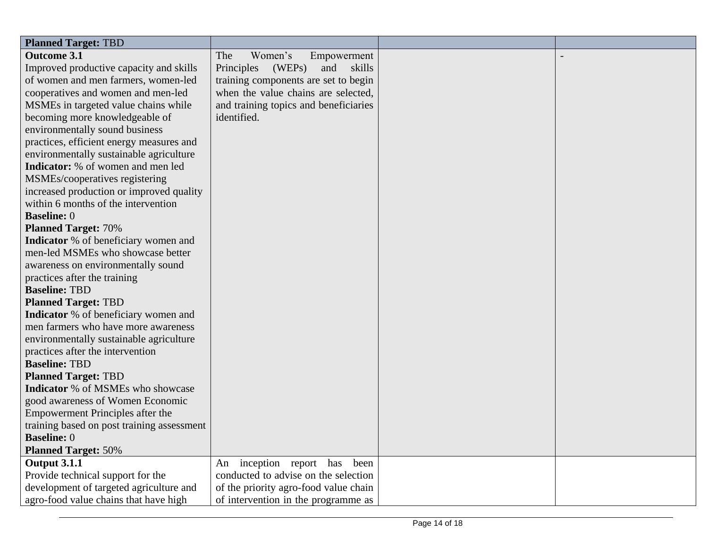| <b>Planned Target: TBD</b>                  |                                       |  |
|---------------------------------------------|---------------------------------------|--|
| <b>Outcome 3.1</b>                          | The<br>Women's<br>Empowerment         |  |
| Improved productive capacity and skills     | Principles<br>(WEPs)<br>skills<br>and |  |
| of women and men farmers, women-led         | training components are set to begin  |  |
| cooperatives and women and men-led          | when the value chains are selected,   |  |
| MSMEs in targeted value chains while        | and training topics and beneficiaries |  |
| becoming more knowledgeable of              | identified.                           |  |
| environmentally sound business              |                                       |  |
| practices, efficient energy measures and    |                                       |  |
| environmentally sustainable agriculture     |                                       |  |
| <b>Indicator:</b> % of women and men led    |                                       |  |
| MSMEs/cooperatives registering              |                                       |  |
| increased production or improved quality    |                                       |  |
| within 6 months of the intervention         |                                       |  |
| <b>Baseline: 0</b>                          |                                       |  |
| <b>Planned Target: 70%</b>                  |                                       |  |
| <b>Indicator</b> % of beneficiary women and |                                       |  |
| men-led MSMEs who showcase better           |                                       |  |
| awareness on environmentally sound          |                                       |  |
| practices after the training                |                                       |  |
| <b>Baseline: TBD</b>                        |                                       |  |
| <b>Planned Target: TBD</b>                  |                                       |  |
| Indicator % of beneficiary women and        |                                       |  |
| men farmers who have more awareness         |                                       |  |
| environmentally sustainable agriculture     |                                       |  |
| practices after the intervention            |                                       |  |
| <b>Baseline: TBD</b>                        |                                       |  |
| <b>Planned Target: TBD</b>                  |                                       |  |
| Indicator % of MSMEs who showcase           |                                       |  |
| good awareness of Women Economic            |                                       |  |
| <b>Empowerment Principles after the</b>     |                                       |  |
| training based on post training assessment  |                                       |  |
| <b>Baseline: 0</b>                          |                                       |  |
| <b>Planned Target: 50%</b>                  |                                       |  |
| <b>Output 3.1.1</b>                         | An inception report has been          |  |
| Provide technical support for the           | conducted to advise on the selection  |  |
| development of targeted agriculture and     | of the priority agro-food value chain |  |
| agro-food value chains that have high       | of intervention in the programme as   |  |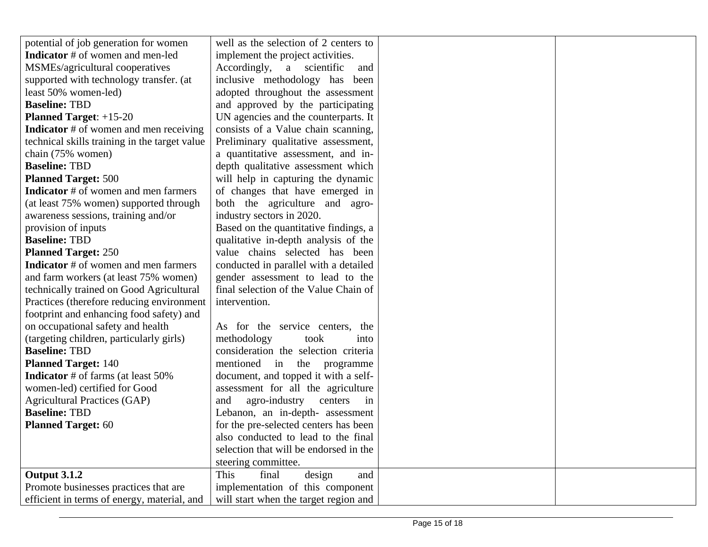| potential of job generation for women         | well as the selection of 2 centers to  |  |
|-----------------------------------------------|----------------------------------------|--|
| <b>Indicator</b> # of women and men-led       | implement the project activities.      |  |
| MSMEs/agricultural cooperatives               | Accordingly,<br>a scientific<br>and    |  |
| supported with technology transfer. (at       | inclusive methodology has been         |  |
| least 50% women-led)                          | adopted throughout the assessment      |  |
| <b>Baseline: TBD</b>                          | and approved by the participating      |  |
| <b>Planned Target:</b> $+15-20$               | UN agencies and the counterparts. It   |  |
| <b>Indicator</b> # of women and men receiving | consists of a Value chain scanning,    |  |
| technical skills training in the target value | Preliminary qualitative assessment,    |  |
| chain (75% women)                             | a quantitative assessment, and in-     |  |
| <b>Baseline: TBD</b>                          | depth qualitative assessment which     |  |
| <b>Planned Target: 500</b>                    | will help in capturing the dynamic     |  |
| <b>Indicator</b> # of women and men farmers   | of changes that have emerged in        |  |
| (at least 75% women) supported through        | both the agriculture and agro-         |  |
| awareness sessions, training and/or           | industry sectors in 2020.              |  |
| provision of inputs                           | Based on the quantitative findings, a  |  |
| <b>Baseline: TBD</b>                          | qualitative in-depth analysis of the   |  |
| <b>Planned Target: 250</b>                    | value chains selected has been         |  |
| Indicator # of women and men farmers          | conducted in parallel with a detailed  |  |
| and farm workers (at least 75% women)         | gender assessment to lead to the       |  |
| technically trained on Good Agricultural      | final selection of the Value Chain of  |  |
| Practices (therefore reducing environment     | intervention.                          |  |
| footprint and enhancing food safety) and      |                                        |  |
| on occupational safety and health             | As for the service centers, the        |  |
| (targeting children, particularly girls)      | methodology<br>took<br>into            |  |
| <b>Baseline: TBD</b>                          | consideration the selection criteria   |  |
| <b>Planned Target: 140</b>                    | mentioned in the<br>programme          |  |
| <b>Indicator</b> # of farms (at least 50%     | document, and topped it with a self-   |  |
| women-led) certified for Good                 | assessment for all the agriculture     |  |
| <b>Agricultural Practices (GAP)</b>           | agro-industry<br>centers<br>and<br>in  |  |
| <b>Baseline: TBD</b>                          | Lebanon, an in-depth- assessment       |  |
| <b>Planned Target: 60</b>                     | for the pre-selected centers has been  |  |
|                                               | also conducted to lead to the final    |  |
|                                               | selection that will be endorsed in the |  |
|                                               | steering committee.                    |  |
| <b>Output 3.1.2</b>                           | This<br>final<br>design<br>and         |  |
| Promote businesses practices that are         | implementation of this component       |  |
| efficient in terms of energy, material, and   | will start when the target region and  |  |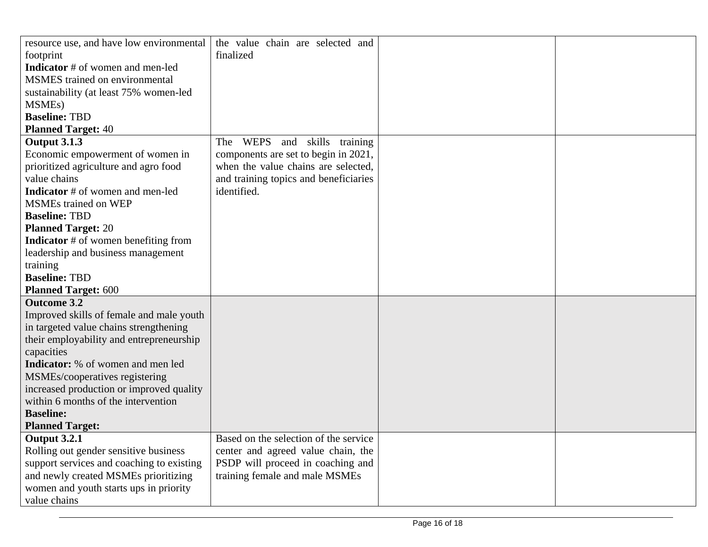| resource use, and have low environmental    | the value chain are selected and             |  |
|---------------------------------------------|----------------------------------------------|--|
| footprint                                   | finalized                                    |  |
| <b>Indicator</b> # of women and men-led     |                                              |  |
| <b>MSMES</b> trained on environmental       |                                              |  |
| sustainability (at least 75% women-led      |                                              |  |
| MSME <sub>s</sub> )                         |                                              |  |
| <b>Baseline: TBD</b>                        |                                              |  |
| <b>Planned Target: 40</b>                   |                                              |  |
| <b>Output 3.1.3</b>                         | <b>WEPS</b><br>skills training<br>The<br>and |  |
| Economic empowerment of women in            | components are set to begin in 2021,         |  |
| prioritized agriculture and agro food       | when the value chains are selected,          |  |
| value chains                                | and training topics and beneficiaries        |  |
| <b>Indicator</b> # of women and men-led     | identified.                                  |  |
| <b>MSMEs trained on WEP</b>                 |                                              |  |
| <b>Baseline: TBD</b>                        |                                              |  |
| <b>Planned Target: 20</b>                   |                                              |  |
| <b>Indicator</b> # of women benefiting from |                                              |  |
| leadership and business management          |                                              |  |
| training                                    |                                              |  |
| <b>Baseline: TBD</b>                        |                                              |  |
| <b>Planned Target: 600</b>                  |                                              |  |
| <b>Outcome 3.2</b>                          |                                              |  |
| Improved skills of female and male youth    |                                              |  |
| in targeted value chains strengthening      |                                              |  |
| their employability and entrepreneurship    |                                              |  |
| capacities                                  |                                              |  |
| <b>Indicator:</b> % of women and men led    |                                              |  |
| MSMEs/cooperatives registering              |                                              |  |
| increased production or improved quality    |                                              |  |
| within 6 months of the intervention         |                                              |  |
| <b>Baseline:</b>                            |                                              |  |
| <b>Planned Target:</b>                      |                                              |  |
| <b>Output 3.2.1</b>                         | Based on the selection of the service        |  |
| Rolling out gender sensitive business       | center and agreed value chain, the           |  |
| support services and coaching to existing   | PSDP will proceed in coaching and            |  |
| and newly created MSMEs prioritizing        | training female and male MSMEs               |  |
| women and youth starts ups in priority      |                                              |  |
| value chains                                |                                              |  |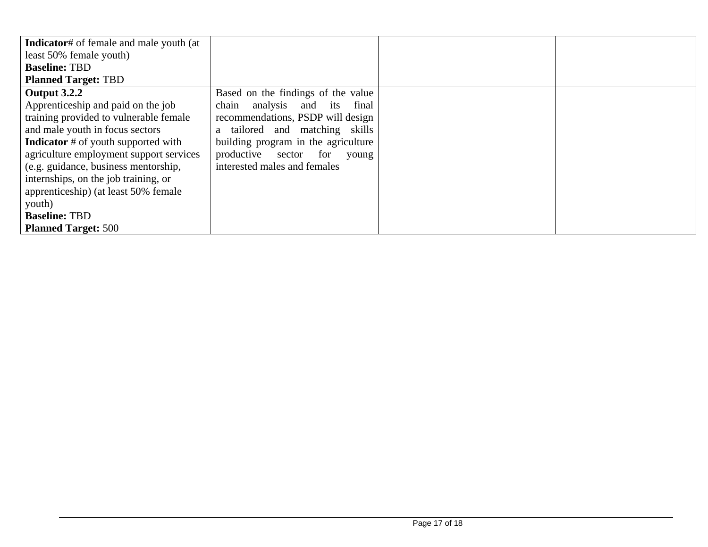| <b>Indicator#</b> of female and male youth (at |                                     |  |
|------------------------------------------------|-------------------------------------|--|
| least 50% female youth)                        |                                     |  |
| <b>Baseline: TBD</b>                           |                                     |  |
| <b>Planned Target: TBD</b>                     |                                     |  |
| <b>Output 3.2.2</b>                            | Based on the findings of the value  |  |
| Apprenticeship and paid on the job             | chain analysis and its<br>final     |  |
| training provided to vulnerable female         | recommendations, PSDP will design   |  |
| and male youth in focus sectors                | a tailored and matching skills      |  |
| <b>Indicator</b> # of youth supported with     | building program in the agriculture |  |
| agriculture employment support services        | productive sector for young         |  |
| (e.g. guidance, business mentorship,           | interested males and females        |  |
| internships, on the job training, or           |                                     |  |
| apprenticeship) (at least 50% female           |                                     |  |
| youth)                                         |                                     |  |
| <b>Baseline: TBD</b>                           |                                     |  |
| <b>Planned Target: 500</b>                     |                                     |  |